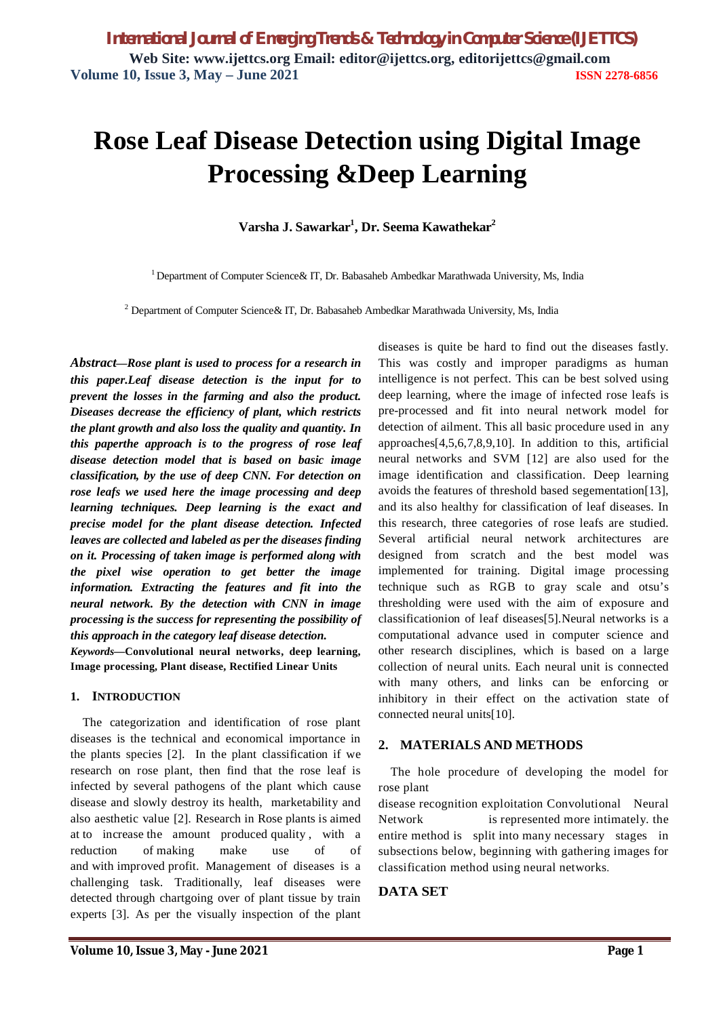# **Rose Leaf Disease Detection using Digital Image Processing &Deep Learning**

**Varsha J. Sawarkar<sup>1</sup> , Dr. Seema Kawathekar<sup>2</sup>**

<sup>1</sup> Department of Computer Science & IT, Dr. Babasaheb Ambedkar Marathwada University, Ms, India

<sup>2</sup> Department of Computer Science & IT, Dr. Babasaheb Ambedkar Marathwada University, Ms, India

*Abstract***—***Rose plant is used to process for a research in this paper.Leaf disease detection is the input for to prevent the losses in the farming and also the product. Diseases decrease the efficiency of plant, which restricts the plant growth and also loss the quality and quantity. In this paperthe approach is to the progress of rose leaf disease detection model that is based on basic image classification, by the use of deep CNN. For detection on rose leafs we used here the image processing and deep learning techniques. Deep learning is the exact and precise model for the plant disease detection. Infected leaves are collected and labeled as per the diseases finding on it. Processing of taken image is performed along with the pixel wise operation to get better the image information. Extracting the features and fit into the neural network. By the detection with CNN in image processing is the success for representing the possibility of this approach in the category leaf disease detection. Keywords***—Convolutional neural networks, deep learning, Image processing, Plant disease, Rectified Linear Units**

#### **1. INTRODUCTION**

The categorization and identification of rose plant diseases is the technical and economical importance in the plants species [2]. In the plant classification if we research on rose plant, then find that the rose leaf is infected by several pathogens of the plant which cause disease and slowly destroy its health, marketability and also aesthetic value [2]. Research in Rose plants is aimed at to increase the amount produced quality , with a reduction of making make use of of and with improved profit. Management of diseases is a challenging task. Traditionally, leaf diseases were detected through chartgoing over of plant tissue by train experts [3]. As per the visually inspection of the plant diseases is quite be hard to find out the diseases fastly. This was costly and improper paradigms as human intelligence is not perfect. This can be best solved using deep learning, where the image of infected rose leafs is pre-processed and fit into neural network model for detection of ailment. This all basic procedure used in any approaches[4,5,6,7,8,9,10]. In addition to this, artificial neural networks and SVM [12] are also used for the image identification and classification. Deep learning avoids the features of threshold based segementation[13], and its also healthy for classification of leaf diseases. In this research, three categories of rose leafs are studied. Several artificial neural network architectures are designed from scratch and the best model was implemented for training. Digital image processing technique such as RGB to gray scale and otsu's thresholding were used with the aim of exposure and classificationion of leaf diseases[5].Neural networks is a computational advance used in computer science and other research disciplines, which is based on a large collection of neural units. Each neural unit is connected with many others, and links can be enforcing or inhibitory in their effect on the activation state of connected neural units[10].

## **2. MATERIALS AND METHODS**

The hole procedure of developing the model for rose plant

disease recognition exploitation Convolutional Neural Network is represented more intimately. the entire method is split into many necessary stages in subsections below, beginning with gathering images for classification method using neural networks.

# **DATA SET**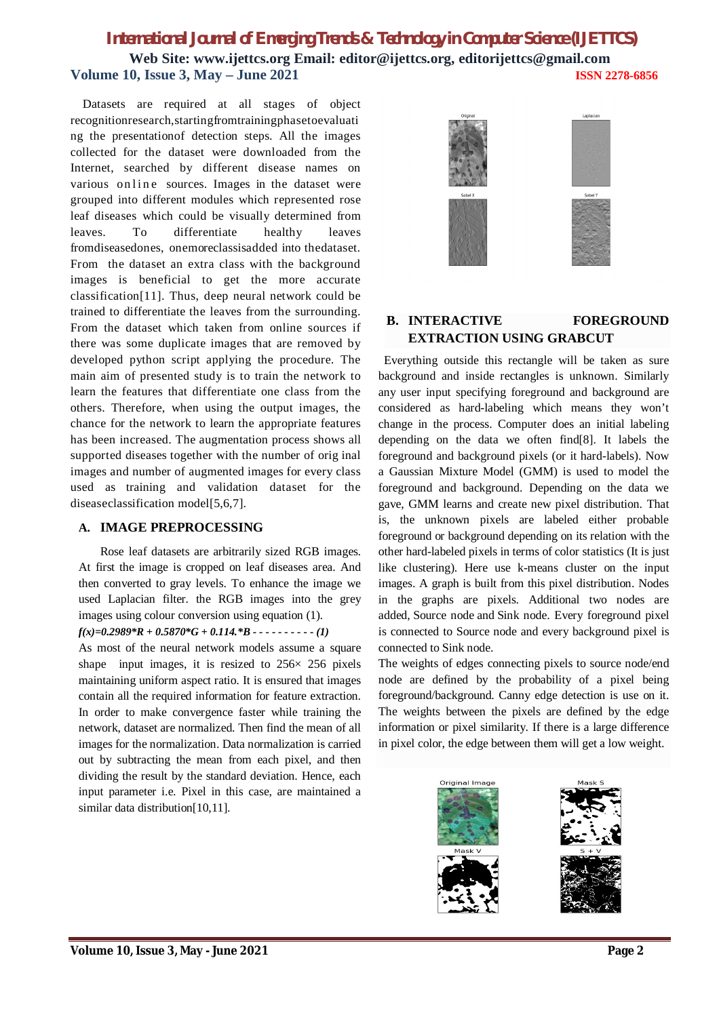# *International Journal of Emerging Trends & Technology in Computer Science (IJETTCS)*

**Web Site: www.ijettcs.org Email: editor@ijettcs.org, editorijettcs@gmail.com Volume 10, Issue 3, May – June 2021 ISSN 2278-6856**

Datasets are required at all stages of object recognitionresearch,startingfromtrainingphasetoevaluati ng the presentationof detection steps. All the images collected for the dataset were downloaded from the Internet, searched by different disease names on various on line sources. Images in the dataset were grouped into different modules which represented rose leaf diseases which could be visually determined from leaves. To differentiate healthy leaves fromdiseasedones, onemoreclassisadded into thedataset. From the dataset an extra class with the background images is beneficial to get the more accurate classification[11]. Thus, deep neural network could be trained to differentiate the leaves from the surrounding. From the dataset which taken from online sources if there was some duplicate images that are removed by developed python script applying the procedure. The main aim of presented study is to train the network to learn the features that differentiate one class from the others. Therefore, when using the output images, the chance for the network to learn the appropriate features has been increased. The augmentation process shows all supported diseases together with the number of orig inal images and number of augmented images for every class used as training and validation dataset for the diseaseclassification model[5,6,7].

## **A. IMAGE PREPROCESSING**

Rose leaf datasets are arbitrarily sized RGB images. At first the image is cropped on leaf diseases area. And then converted to gray levels. To enhance the image we used Laplacian filter. the RGB images into the grey images using colour conversion using equation (1).

# *f(x)=0.2989\*R + 0.5870\*G + 0.114.\*B - - - - - - - - - - (1)*

As most of the neural network models assume a square shape input images, it is resized to  $256 \times 256$  pixels maintaining uniform aspect ratio. It is ensured that images contain all the required information for feature extraction. In order to make convergence faster while training the network, dataset are normalized. Then find the mean of all images for the normalization. Data normalization is carried out by subtracting the mean from each pixel, and then dividing the result by the standard deviation. Hence, each input parameter i.e. Pixel in this case, are maintained a similar data distribution[10,11].



# **B. INTERACTIVE FOREGROUND EXTRACTION USING GRABCUT**

Everything outside this rectangle will be taken as sure background and inside rectangles is unknown. Similarly any user input specifying foreground and background are considered as hard-labeling which means they won't change in the process. Computer does an initial labeling depending on the data we often find[8]. It labels the foreground and background pixels (or it hard-labels). Now a Gaussian Mixture Model (GMM) is used to model the foreground and background. Depending on the data we gave, GMM learns and create new pixel distribution. That is, the unknown pixels are labeled either probable foreground or background depending on its relation with the other hard-labeled pixels in terms of color statistics (It is just like clustering). Here use k-means cluster on the input images. A graph is built from this pixel distribution. Nodes in the graphs are pixels. Additional two nodes are added, Source node and Sink node. Every foreground pixel is connected to Source node and every background pixel is connected to Sink node.

The weights of edges connecting pixels to source node/end node are defined by the probability of a pixel being foreground/background. Canny edge detection is use on it. The weights between the pixels are defined by the edge information or pixel similarity. If there is a large difference in pixel color, the edge between them will get a low weight.



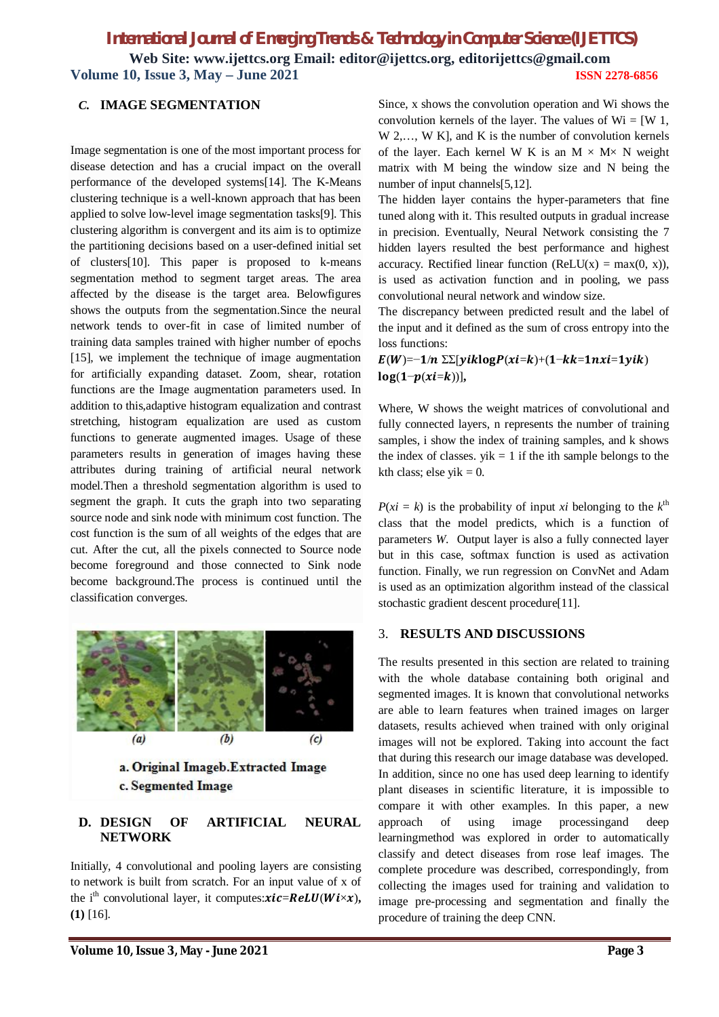# *International Journal of Emerging Trends & Technology in Computer Science (IJETTCS)* **Web Site: www.ijettcs.org Email: editor@ijettcs.org, editorijettcs@gmail.com Volume 10, Issue 3, May – June 2021 ISSN 2278-6856**

#### *C.* **IMAGE SEGMENTATION**

Image segmentation is one of the most important process for disease detection and has a crucial impact on the overall performance of the developed systems[14]. The K-Means clustering technique is a well-known approach that has been applied to solve low-level image segmentation tasks[9]. This clustering algorithm is convergent and its aim is to optimize the partitioning decisions based on a user-defined initial set of clusters[10]. This paper is proposed to k-means segmentation method to segment target areas. The area affected by the disease is the target area. Belowfigures shows the outputs from the segmentation.Since the neural network tends to over-fit in case of limited number of training data samples trained with higher number of epochs [15], we implement the technique of image augmentation for artificially expanding dataset. Zoom, shear, rotation functions are the Image augmentation parameters used. In addition to this,adaptive histogram equalization and contrast stretching, histogram equalization are used as custom functions to generate augmented images. Usage of these parameters results in generation of images having these attributes during training of artificial neural network model.Then a threshold segmentation algorithm is used to segment the graph. It cuts the graph into two separating source node and sink node with minimum cost function. The cost function is the sum of all weights of the edges that are cut. After the cut, all the pixels connected to Source node become foreground and those connected to Sink node become background.The process is continued until the classification converges.



## **D. DESIGN OF ARTIFICIAL NEURAL NETWORK**

Initially, 4 convolutional and pooling layers are consisting to network is built from scratch. For an input value of x of the i<sup>th</sup> convolutional layer, it computes: $\boldsymbol{x}$ **ic**=**ReLU**( $\boldsymbol{W}$ **i** $\times$ **x**), **(1)** [16].

Since, x shows the convolution operation and Wi shows the convolution kernels of the layer. The values of  $Wi = [W 1,$ W 2,…, W K], and K is the number of convolution kernels of the layer. Each kernel W K is an  $M \times M \times N$  weight matrix with M being the window size and N being the number of input channels[5,12].

The hidden layer contains the hyper-parameters that fine tuned along with it. This resulted outputs in gradual increase in precision. Eventually, Neural Network consisting the 7 hidden layers resulted the best performance and highest accuracy. Rectified linear function (ReLU(x) = max(0, x)), is used as activation function and in pooling, we pass convolutional neural network and window size.

The discrepancy between predicted result and the label of the input and it defined as the sum of cross entropy into the loss functions:

 $E(W)=-1/n \Sigma[yiklogP(xi=k)+(1-kk=1nxi=1yik)$  $log(1-p(xi=k))$ ],

Where, W shows the weight matrices of convolutional and fully connected layers, n represents the number of training samples, i show the index of training samples, and k shows the index of classes.  $yik = 1$  if the ith sample belongs to the kth class; else yi $k = 0$ .

 $P(xi = k)$  is the probability of input *xi* belonging to the  $k^{\text{th}}$ class that the model predicts, which is a function of parameters *W*. Output layer is also a fully connected layer but in this case, softmax function is used as activation function. Finally, we run regression on ConvNet and Adam is used as an optimization algorithm instead of the classical stochastic gradient descent procedure<sup>[11]</sup>.

#### 3. **RESULTS AND DISCUSSIONS**

The results presented in this section are related to training with the whole database containing both original and segmented images. It is known that convolutional networks are able to learn features when trained images on larger datasets, results achieved when trained with only original images will not be explored. Taking into account the fact that during this research our image database was developed. In addition, since no one has used deep learning to identify plant diseases in scientific literature, it is impossible to compare it with other examples. In this paper, a new approach of using image processingand deep learningmethod was explored in order to automatically classify and detect diseases from rose leaf images. The complete procedure was described, correspondingly, from collecting the images used for training and validation to image pre-processing and segmentation and finally the procedure of training the deep CNN.